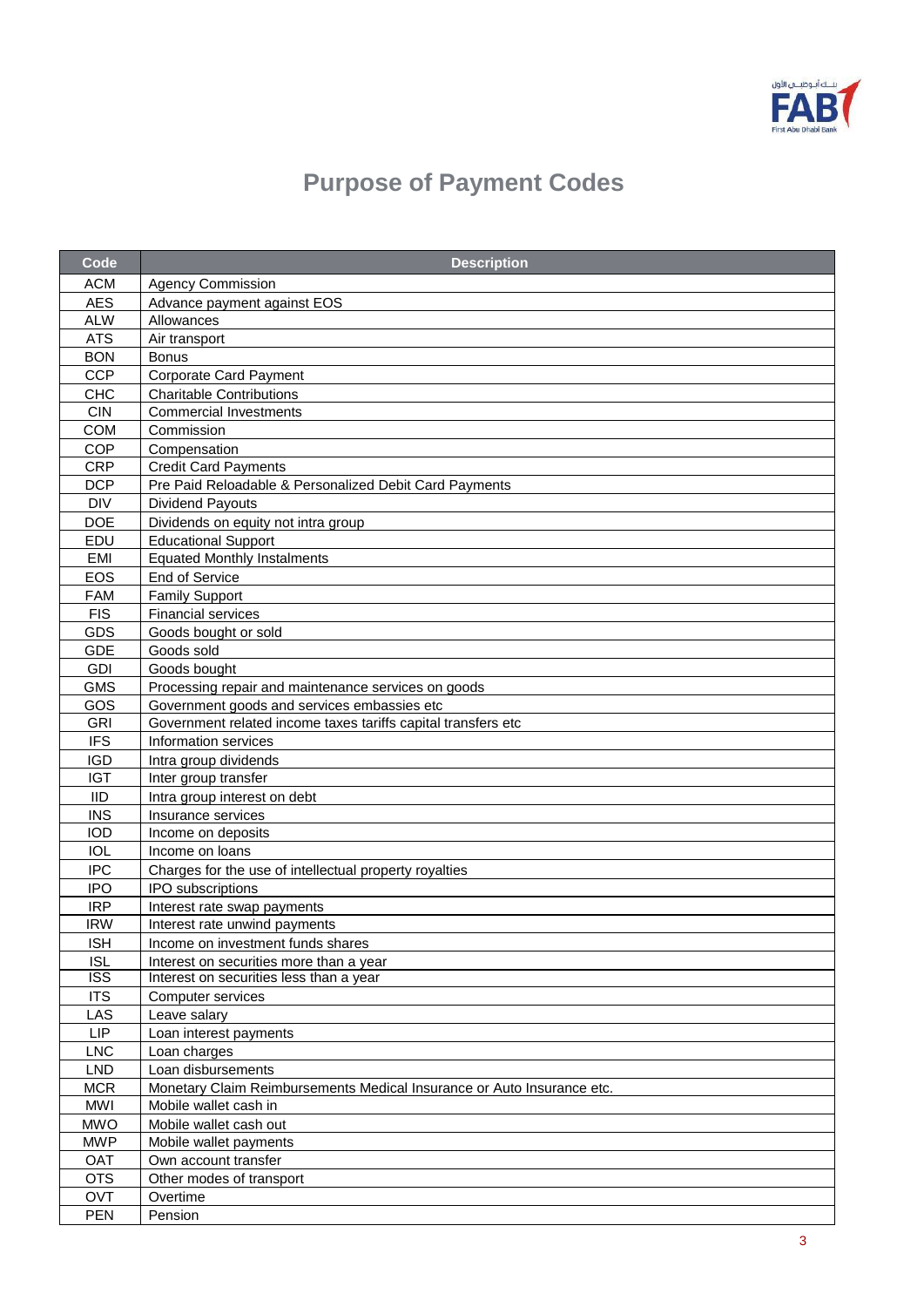

## **Purpose of Payment Codes**

| Code                     | <b>Description</b>                                                                 |
|--------------------------|------------------------------------------------------------------------------------|
| <b>ACM</b>               | <b>Agency Commission</b>                                                           |
| <b>AES</b>               | Advance payment against EOS                                                        |
| <b>ALW</b>               | Allowances                                                                         |
| <b>ATS</b>               | Air transport                                                                      |
| <b>BON</b>               | <b>Bonus</b>                                                                       |
| <b>CCP</b>               | Corporate Card Payment                                                             |
| <b>CHC</b>               | <b>Charitable Contributions</b>                                                    |
| <b>CIN</b>               | <b>Commercial Investments</b>                                                      |
| <b>COM</b>               | Commission                                                                         |
| <b>COP</b>               | Compensation                                                                       |
| <b>CRP</b>               | <b>Credit Card Payments</b>                                                        |
| <b>DCP</b>               | Pre Paid Reloadable & Personalized Debit Card Payments                             |
| <b>DIV</b>               | Dividend Payouts                                                                   |
| <b>DOE</b>               | Dividends on equity not intra group                                                |
| EDU                      | <b>Educational Support</b>                                                         |
| <b>EMI</b>               | <b>Equated Monthly Instalments</b>                                                 |
| <b>EOS</b>               | End of Service                                                                     |
| <b>FAM</b>               | <b>Family Support</b>                                                              |
| <b>FIS</b>               | <b>Financial services</b>                                                          |
| GDS                      | Goods bought or sold                                                               |
| <b>GDE</b>               | Goods sold                                                                         |
| <b>GDI</b>               | Goods bought                                                                       |
| <b>GMS</b>               | Processing repair and maintenance services on goods                                |
| GOS                      | Government goods and services embassies etc                                        |
| <b>GRI</b>               | Government related income taxes tariffs capital transfers etc                      |
| <b>IFS</b>               | Information services                                                               |
| <b>IGD</b>               | Intra group dividends                                                              |
| <b>IGT</b>               | Inter group transfer                                                               |
| <b>IID</b>               | Intra group interest on debt                                                       |
| <b>INS</b>               | Insurance services                                                                 |
| <b>IOD</b>               | Income on deposits                                                                 |
| <b>IOL</b>               | Income on loans                                                                    |
| <b>IPC</b>               | Charges for the use of intellectual property royalties                             |
| <b>IPO</b>               | IPO subscriptions                                                                  |
| <b>IRP</b>               | Interest rate swap payments                                                        |
| <b>IRW</b>               | Interest rate unwind payments                                                      |
| <b>ISH</b><br><b>ISL</b> | Income on investment funds shares                                                  |
| <b>ISS</b>               | Interest on securities more than a year<br>Interest on securities less than a year |
| <b>ITS</b>               | Computer services                                                                  |
| LAS                      | Leave salary                                                                       |
| <b>LIP</b>               | Loan interest payments                                                             |
| <b>LNC</b>               | Loan charges                                                                       |
| <b>LND</b>               | Loan disbursements                                                                 |
| <b>MCR</b>               | Monetary Claim Reimbursements Medical Insurance or Auto Insurance etc.             |
| <b>MWI</b>               | Mobile wallet cash in                                                              |
| <b>MWO</b>               | Mobile wallet cash out                                                             |
| <b>MWP</b>               | Mobile wallet payments                                                             |
| OAT                      | Own account transfer                                                               |
| <b>OTS</b>               | Other modes of transport                                                           |
| OVT                      | Overtime                                                                           |
| <b>PEN</b>               | Pension                                                                            |